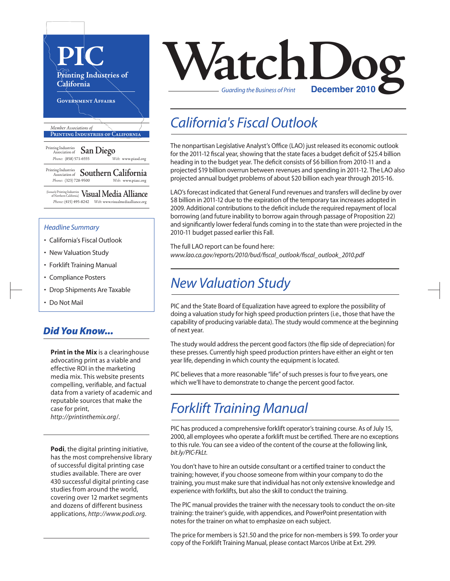

- California's Fiscal Outlook
- New Valuation Study
- Forklift Training Manual
- Compliance Posters
- Drop Shipments Are Taxable
- Do Not Mail

### *Did You Know...*

**Print in the Mix** is a clearinghouse advocating print as a viable and effective ROI in the marketing media mix. This website presents compelling, verifiable, and factual data from a variety of academic and reputable sources that make the case for print, *http://printinthemix.org*/.

**Podi**, the digital printing initiative, has the most comprehensive library of successful digital printing case studies available. There are over 430 successful digital printing case studies from around the world, covering over 12 market segments and dozens of different business applications, *http://www.podi.org*.



## *California's Fiscal Outlook*

The nonpartisan Legislative Analyst's Office (LAO) just released its economic outlook for the 2011-12 fiscal year, showing that the state faces a budget deficit of \$25.4 billion heading in to the budget year. The deficit consists of \$6 billion from 2010-11 and a projected \$19 billion overrun between revenues and spending in 2011-12. The LAO also projected annual budget problems of about \$20 billion each year through 2015-16.

LAO's forecast indicated that General Fund revenues and transfers will decline by over \$8 billion in 2011-12 due to the expiration of the temporary tax increases adopted in 2009. Additional contributions to the deficit include the required repayment of local borrowing (and future inability to borrow again through passage of Proposition 22) and significantly lower federal funds coming in to the state than were projected in the 2010-11 budget passed earlier this Fall.

The full LAO report can be found here: *www.lao.ca.gov/reports/2010/bud/fiscal\_outlook/fiscal\_outlook\_2010.pdf*

## *New Valuation Study*

PIC and the State Board of Equalization have agreed to explore the possibility of doing a valuation study for high speed production printers(i.e., those that have the capability of producing variable data). The study would commence at the beginning of next year.

The study would address the percent good factors (the flip side of depreciation) for these presses. Currently high speed production printers have either an eight or ten year life, depending in which county the equipment is located.

PIC believes that a more reasonable "life" of such presses is four to five years, one which we'll have to demonstrate to change the percent good factor.

## *Forklift Training Manual*

PIC has produced a comprehensive forklift operator's training course. As of July 15, 2000, all employees who operate a forklift must be certified. There are no exceptions to this rule. You can see a video of the content of the course at the following link, *bit.ly/PIC-FkLt*.

You don't have to hire an outside consultant or a certified trainer to conduct the training; however, if you choose someone from within your company to do the training, you must make sure that individual has not only extensive knowledge and experience with forklifts, but also the skill to conduct the training.

The PIC manual provides the trainer with the necessary tools to conduct the on-site training: the trainer's guide, with appendices, and PowerPoint presentation with notes for the trainer on what to emphasize on each subject.

The price for members is \$21.50 and the price for non-members is \$99. To order your copy of the Forklift Training Manual, please contact Marcos Uribe at Ext. 299.